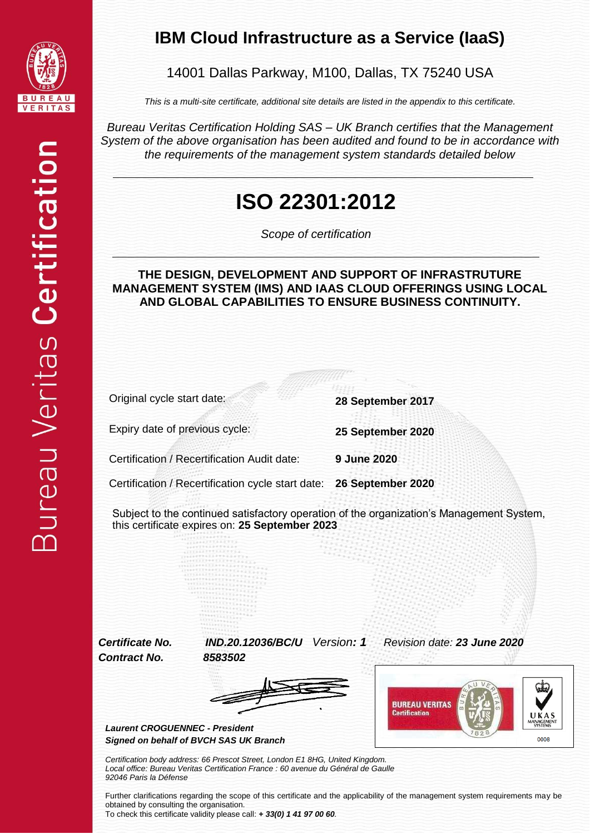

#### **IBM Cloud Infrastructure as a Service (IaaS)**

14001 Dallas Parkway, M100, Dallas, TX 75240 USA

*This is a multi-site certificate, additional site details are listed in the appendix to this certificate.*

*Bureau Veritas Certification Holding SAS – UK Branch certifies that the Management System of the above organisation has been audited and found to be in accordance with the requirements of the management system standards detailed below*

## **ISO 22301:2012**

*Scope of certification*

#### **THE DESIGN, DEVELOPMENT AND SUPPORT OF INFRASTRUTURE MANAGEMENT SYSTEM (IMS) AND IAAS CLOUD OFFERINGS USING LOCAL AND GLOBAL CAPABILITIES TO ENSURE BUSINESS CONTINUITY.**

Original cycle start date: **28 September 2017**

Expiry date of previous cycle: **25 September 2020**

Certification / Recertification Audit date: **9 June 2020**

Certification / Recertification cycle start date: **26 September 2020**

Subject to the continued satisfactory operation of the organization's Management System, this certificate expires on: **25 September 2023**

*Contract No. 8583502*

*Certificate No. IND.20.12036/BC/U Version: 1 Revision date: 23 June 2020*





*Laurent CROGUENNEC - President Signed on behalf of BVCH SAS UK Branch*

*Certification body address: 66 Prescot Street, London E1 8HG, United Kingdom. Local office: Bureau Veritas Certification France : 60 avenue du Général de Gaulle 92046 Paris la Défense*

Further clarifications regarding the scope of this certificate and the applicability of the management system requirements may be obtained by consulting the organisation.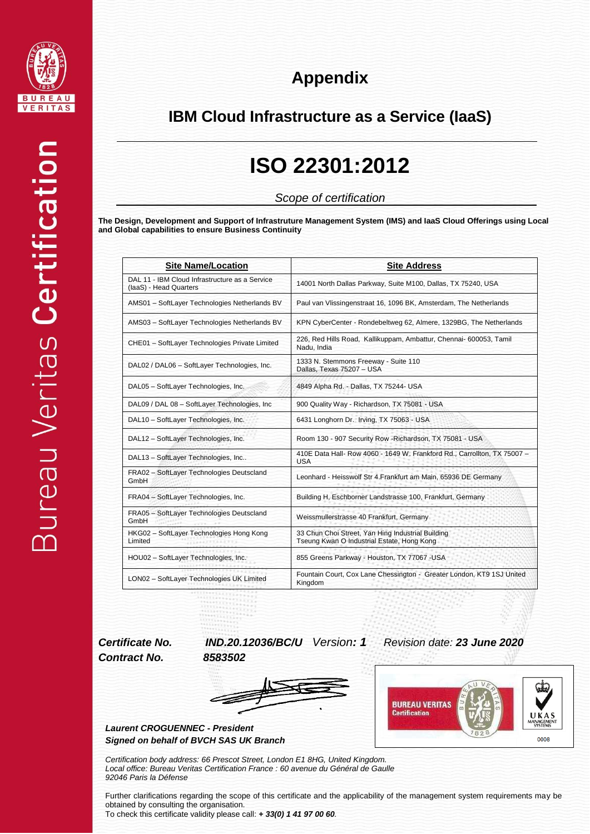

### **Appendix**

#### **IBM Cloud Infrastructure as a Service (IaaS)**

### **ISO 22301:2012**

*Scope of certification*

**The Design, Development and Support of Infrastruture Management System (IMS) and IaaS Cloud Offerings using Local and Global capabilities to ensure Business Continuity**

| <b>Site Name/Location</b>                                                | <b>Site Address</b>                                                                             |
|--------------------------------------------------------------------------|-------------------------------------------------------------------------------------------------|
| DAL 11 - IBM Cloud Infrastructure as a Service<br>(laaS) - Head Quarters | 14001 North Dallas Parkway, Suite M100, Dallas, TX 75240, USA                                   |
| AMS01 - SoftLayer Technologies Netherlands BV                            | Paul van Vlissingenstraat 16, 1096 BK, Amsterdam, The Netherlands                               |
| AMS03 - SoftLayer Technologies Netherlands BV                            | KPN CyberCenter - Rondebeltweg 62, Almere, 1329BG, The Netherlands                              |
| CHE01 - SoftLayer Technologies Private Limited                           | 226, Red Hills Road, Kallikuppam, Ambattur, Chennai- 600053, Tamil<br>Nadu, India               |
| DAL02 / DAL06 - SoftLayer Technologies, Inc.                             | 1333 N. Stemmons Freeway - Suite 110<br>Dallas, Texas 75207 - USA                               |
| DAL05 - SoftLayer Technologies, Inc.                                     | 4849 Alpha Rd. - Dallas, TX 75244- USA                                                          |
| DAL09 / DAL 08 - SoftLayer Technologies, Inc.                            | 900 Quality Way - Richardson, TX 75081 - USA                                                    |
| DAL10 - SoftLayer Technologies, Inc.                                     | 6431 Longhorn Dr. Irving, TX 75063 - USA                                                        |
| DAL12 - SoftLayer Technologies, Inc.                                     | Room 130 - 907 Security Row - Richardson, TX 75081 - USA                                        |
| DAL13 - SoftLayer Technologies, Inc                                      | 410E Data Hall- Row 4060 - 1649 W. Frankford Rd., Carrollton, TX 75007 -<br><b>USA</b>          |
| FRA02 - SoftLayer Technologies Deutscland<br>GmbH                        | Leonhard - Heisswolf Str 4. Frankfurt am Main, 65936 DE Germany                                 |
| FRA04 - SoftLayer Technologies, Inc.                                     | Building H, Eschborner Landstrasse 100, Frankfurt, Germany                                      |
| FRA05 - SoftLayer Technologies Deutscland<br>GmbH                        | Weissmullerstrasse 40 Frankfurt, Germany                                                        |
| HKG02 - SoftLayer Technologies Hong Kong<br>Limited                      | 33 Chun Choi Street, Yan Hing Industrial Building<br>Tseung Kwan O Industrial Estate, Hong Kong |
| HOU02 - SoftLayer Technologies, Inc.                                     | 855 Greens Parkway - Houston, TX 77067 - USA                                                    |
| LON02 - SoftLayer Technologies UK Limited                                | Fountain Court, Cox Lane Chessington - Greater London, KT9 1SJ United<br>Kingdom                |

*Contract No. 8583502*

*Certificate No. IND.20.12036/BC/U Version: 1 Revision date: 23 June 2020*





QD. **BUREAU VERITAS Certification** UKAS **ANAGE** 0008

*Certification body address: 66 Prescot Street, London E1 8HG, United Kingdom. Local office: Bureau Veritas Certification France : 60 avenue du Général de Gaulle 92046 Paris la Défense*

Further clarifications regarding the scope of this certificate and the applicability of the management system requirements may be obtained by consulting the organisation.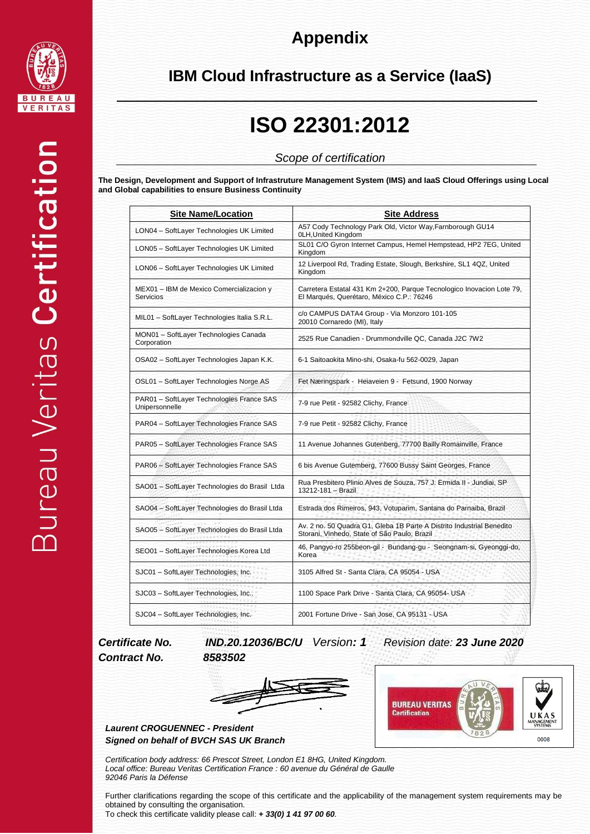

### **Appendix**

#### **IBM Cloud Infrastructure as a Service (IaaS)**

# **ISO 22301:2012**

#### *Scope of certification*

**The Design, Development and Support of Infrastruture Management System (IMS) and IaaS Cloud Offerings using Local and Global capabilities to ensure Business Continuity**

| <b>Site Name/Location</b>                                    | <b>Site Address</b>                                                                                                   |
|--------------------------------------------------------------|-----------------------------------------------------------------------------------------------------------------------|
| LON04 - SoftLayer Technologies UK Limited                    | A57 Cody Technology Park Old, Victor Way, Farnborough GU14<br>0LH, United Kingdom                                     |
| LON05 - SoftLayer Technologies UK Limited                    | SL01 C/O Gyron Internet Campus, Hemel Hempstead, HP2 7EG, United<br>Kingdom                                           |
| LON06 - SoftLayer Technologies UK Limited                    | 12 Liverpool Rd, Trading Estate, Slough, Berkshire, SL1 4QZ, United<br>Kingdom                                        |
| MEX01 - IBM de Mexico Comercializacion y<br><b>Servicios</b> | Carretera Estatal 431 Km 2+200, Parque Tecnologico Inovacion Lote 79,<br>El Marqués, Querétaro, México C.P.: 76246    |
| MIL01 - SoftLayer Technologies Italia S.R.L.                 | c/o CAMPUS DATA4 Group - Via Monzoro 101-105<br>20010 Cornaredo (MI), Italy                                           |
| MON01 - SoftLayer Technologies Canada<br>Corporation         | 2525 Rue Canadien - Drummondville QC, Canada J2C 7W2                                                                  |
| OSA02 - SoftLayer Technologies Japan K.K.                    | 6-1 Saitoaokita Mino-shi, Osaka-fu 562-0029, Japan                                                                    |
| OSL01 - SoftLayer Technologies Norge AS                      | Fet Næringspark - Heiaveien 9 - Fetsund, 1900 Norway                                                                  |
| PAR01 - SoftLayer Technologies France SAS<br>Unipersonnelle  | 7-9 rue Petit - 92582 Clichy, France                                                                                  |
| PAR04 - SoftLayer Technologies France SAS                    | 7-9 rue Petit - 92582 Clichy, France                                                                                  |
| PAR05 - SoftLayer Technologies France SAS                    | 11 Avenue Johannes Gutenberg, 77700 Bailly Romainville, France                                                        |
| PAR06 - SoftLayer Technologies France SAS                    | 6 bis Avenue Gutemberg, 77600 Bussy Saint Georges, France                                                             |
| SAO01 - SoftLayer Technologies do Brasil Ltda                | Rua Presbitero Plinio Alves de Souza, 757 J. Ermida II - Jundiai, SP<br>13212-181 - Brazil                            |
| SAO04 - SoftLayer Technologies do Brasil Ltda                | Estrada dos Rimeiros, 943, Votuparim, Santana do Parnaiba, Brazil                                                     |
| SAO05 - SoftLayer Technologies do Brasil Ltda                | Av. 2 no. 50 Quadra G1, Gleba 1B Parte A Distrito Industrial Benedito<br>Storani, Vinhedo, State of São Paulo, Brazil |
| SEO01 - SoftLayer Technologies Korea Ltd                     | 46, Pangyo-ro 255beon-gil - Bundang-gu - Seongnam-si, Gyeonggi-do,<br>Korea                                           |
| SJC01 - SoftLayer Technologies, Inc.                         | 3105 Alfred St - Santa Clara, CA 95054 - USA                                                                          |
| SJC03 - SoftLayer Technologies, Inc                          | 1100 Space Park Drive - Santa Clara, CA 95054- USA                                                                    |
| SJC04 - SoftLayer Technologies, Inc.                         | 2001 Fortune Drive - San Jose, CA 95131 - USA                                                                         |

# *Contract No. 8583502*

*Certificate No. IND.20.12036/BC/U Version: 1 Revision date: 23 June 2020*





*Laurent CROGUENNEC - President Signed on behalf of BVCH SAS UK Branch*

*Certification body address: 66 Prescot Street, London E1 8HG, United Kingdom. Local office: Bureau Veritas Certification France : 60 avenue du Général de Gaulle 92046 Paris la Défense*

Further clarifications regarding the scope of this certificate and the applicability of the management system requirements may be obtained by consulting the organisation.